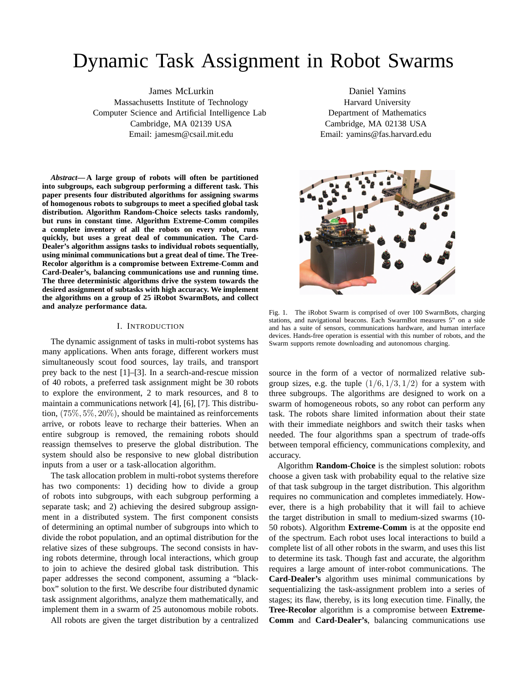# Dynamic Task Assignment in Robot Swarms

James McLurkin Massachusetts Institute of Technology Computer Science and Artificial Intelligence Lab Cambridge, MA 02139 USA Email: jamesm@csail.mit.edu

*Abstract***—A large group of robots will often be partitioned into subgroups, each subgroup performing a different task. This paper presents four distributed algorithms for assigning swarms of homogenous robots to subgroups to meet a specified global task distribution. Algorithm Random-Choice selects tasks randomly, but runs in constant time. Algorithm Extreme-Comm compiles a complete inventory of all the robots on every robot, runs quickly, but uses a great deal of communication. The Card-Dealer's algorithm assigns tasks to individual robots sequentially, using minimal communications but a great deal of time. The Tree-Recolor algorithm is a compromise between Extreme-Comm and Card-Dealer's, balancing communications use and running time. The three deterministic algorithms drive the system towards the desired assignment of subtasks with high accuracy. We implement the algorithms on a group of 25 iRobot SwarmBots, and collect and analyze performance data.**

## I. INTRODUCTION

The dynamic assignment of tasks in multi-robot systems has many applications. When ants forage, different workers must simultaneously scout food sources, lay trails, and transport prey back to the nest [1]–[3]. In a search-and-rescue mission of 40 robots, a preferred task assignment might be 30 robots to explore the environment, 2 to mark resources, and 8 to maintain a communications network [4], [6], [7]. This distribution, (75%, 5%, 20%), should be maintained as reinforcements arrive, or robots leave to recharge their batteries. When an entire subgroup is removed, the remaining robots should reassign themselves to preserve the global distribution. The system should also be responsive to new global distribution inputs from a user or a task-allocation algorithm.

The task allocation problem in multi-robot systems therefore has two components: 1) deciding how to divide a group of robots into subgroups, with each subgroup performing a separate task; and 2) achieving the desired subgroup assignment in a distributed system. The first component consists of determining an optimal number of subgroups into which to divide the robot population, and an optimal distribution for the relative sizes of these subgroups. The second consists in having robots determine, through local interactions, which group to join to achieve the desired global task distribution. This paper addresses the second component, assuming a "blackbox" solution to the first. We describe four distributed dynamic task assignment algorithms, analyze them mathematically, and implement them in a swarm of 25 autonomous mobile robots.

All robots are given the target distribution by a centralized

Daniel Yamins Harvard University Department of Mathematics Cambridge, MA 02138 USA Email: yamins@fas.harvard.edu



Fig. 1. The iRobot Swarm is comprised of over 100 SwarmBots, charging stations, and navigational beacons. Each SwarmBot measures 5" on a side and has a suite of sensors, communications hardware, and human interface devices. Hands-free operation is essential with this number of robots, and the Swarm supports remote downloading and autonomous charging.

source in the form of a vector of normalized relative subgroup sizes, e.g. the tuple  $(1/6, 1/3, 1/2)$  for a system with three subgroups. The algorithms are designed to work on a swarm of homogeneous robots, so any robot can perform any task. The robots share limited information about their state with their immediate neighbors and switch their tasks when needed. The four algorithms span a spectrum of trade-offs between temporal efficiency, communications complexity, and accuracy.

Algorithm **Random-Choice** is the simplest solution: robots choose a given task with probability equal to the relative size of that task subgroup in the target distribution. This algorithm requires no communication and completes immediately. However, there is a high probability that it will fail to achieve the target distribution in small to medium-sized swarms (10- 50 robots). Algorithm **Extreme-Comm** is at the opposite end of the spectrum. Each robot uses local interactions to build a complete list of all other robots in the swarm, and uses this list to determine its task. Though fast and accurate, the algorithm requires a large amount of inter-robot communications. The **Card-Dealer's** algorithm uses minimal communications by sequentializing the task-assignment problem into a series of stages; its flaw, thereby, is its long execution time. Finally, the **Tree-Recolor** algorithm is a compromise between **Extreme-Comm** and **Card-Dealer's**, balancing communications use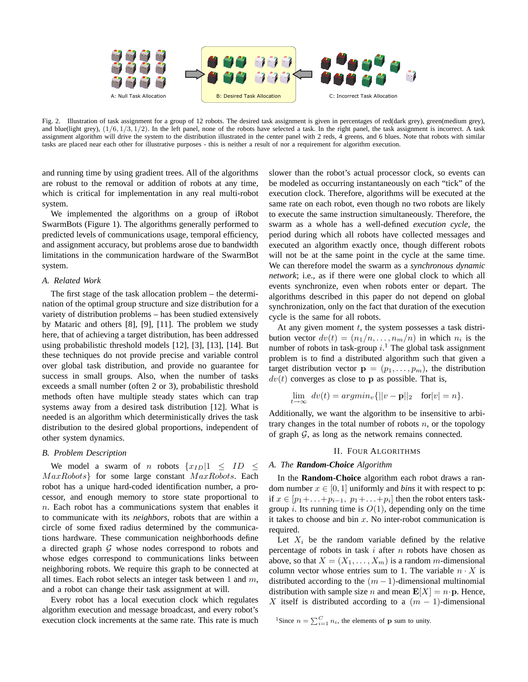

Fig. 2. Illustration of task assignment for a group of 12 robots. The desired task assignment is given in percentages of red(dark grey), green(medium grey), and blue(light grey),  $(1/6, 1/3, 1/2)$ . In the left panel, none of the robots have selected a task. In the right panel, the task assignment is incorrect. A task assignment algorithm will drive the system to the distribution illustrated in the center panel with 2 reds, 4 greens, and 6 blues. Note that robots with similar tasks are placed near each other for illustrative purposes - this is neither a result of nor a requirement for algorithm execution.

and running time by using gradient trees. All of the algorithms are robust to the removal or addition of robots at any time, which is critical for implementation in any real multi-robot system.

We implemented the algorithms on a group of iRobot SwarmBots (Figure 1). The algorithms generally performed to predicted levels of communications usage, temporal efficiency, and assignment accuracy, but problems arose due to bandwidth limitations in the communication hardware of the SwarmBot system.

# *A. Related Work*

The first stage of the task allocation problem – the determination of the optimal group structure and size distribution for a variety of distribution problems – has been studied extensively by Mataric and others [8], [9], [11]. The problem we study here, that of achieving a target distribution, has been addressed using probabilistic threshold models [12], [3], [13], [14]. But these techniques do not provide precise and variable control over global task distribution, and provide no guarantee for success in small groups. Also, when the number of tasks exceeds a small number (often 2 or 3), probabilistic threshold methods often have multiple steady states which can trap systems away from a desired task distribution [12]. What is needed is an algorithm which deterministically drives the task distribution to the desired global proportions, independent of other system dynamics.

# *B. Problem Description*

We model a swarm of *n* robots  $\{x_{ID}|1 \leq ID \leq \}$  $MaxRobots$ } for some large constant  $MaxRobots$ . Each robot has a unique hard-coded identification number, a processor, and enough memory to store state proportional to  $n$ . Each robot has a communications system that enables it to communicate with its *neighbors*, robots that are within a circle of some fixed radius determined by the communications hardware. These communication neighborhoods define a directed graph  $G$  whose nodes correspond to robots and whose edges correspond to communications links between neighboring robots. We require this graph to be connected at all times. Each robot selects an integer task between 1 and  $m$ , and a robot can change their task assignment at will.

Every robot has a local execution clock which regulates algorithm execution and message broadcast, and every robot's execution clock increments at the same rate. This rate is much slower than the robot's actual processor clock, so events can be modeled as occurring instantaneously on each "tick" of the execution clock. Therefore, algorithms will be executed at the same rate on each robot, even though no two robots are likely to execute the same instruction simultaneously. Therefore, the swarm as a whole has a well-defined *execution cycle*, the period during which all robots have collected messages and executed an algorithm exactly once, though different robots will not be at the same point in the cycle at the same time. We can therefore model the swarm as a *synchronous dynamic network*; i.e., as if there were one global clock to which all events synchronize, even when robots enter or depart. The algorithms described in this paper do not depend on global synchronization, only on the fact that duration of the execution cycle is the same for all robots.

At any given moment  $t$ , the system possesses a task distribution vector  $dv(t) = (n_1/n, \ldots, n_m/n)$  in which  $n_i$  is the number of robots in task-group  $i$ .<sup>1</sup> The global task assignment problem is to find a distributed algorithm such that given a target distribution vector  $\mathbf{p} = (p_1, \ldots, p_m)$ , the distribution  $dv(t)$  converges as close to p as possible. That is,

$$
\lim_{t \to \infty} dv(t) = argmin_{v} \{ ||v - \mathbf{p}||_2 \quad \text{for} |v| = n \}.
$$

Additionally, we want the algorithm to be insensitive to arbitrary changes in the total number of robots  $n$ , or the topology of graph  $G$ , as long as the network remains connected.

# II. FOUR ALGORITHMS

### *A. The Random-Choice Algorithm*

In the **Random-Choice** algorithm each robot draws a random number  $x \in [0, 1]$  uniformly and *bins* it with respect to p: if  $x \in [p_1 + ... + p_{i-1}, p_1 + ... + p_i]$  then the robot enters taskgroup *i*. Its running time is  $O(1)$ , depending only on the time it takes to choose and bin  $x$ . No inter-robot communication is required.

Let  $X_i$  be the random variable defined by the relative percentage of robots in task  $i$  after  $n$  robots have chosen as above, so that  $X = (X_1, \ldots, X_m)$  is a random m-dimensional column vector whose entries sum to 1. The variable  $n \cdot X$  is distributed according to the  $(m-1)$ -dimensional multinomial distribution with sample size *n* and mean  $E[X] = n \cdot p$ . Hence, X itself is distributed according to a  $(m - 1)$ -dimensional

<sup>1</sup>Since  $n = \sum_{i=1}^{C} n_i$ , the elements of **p** sum to unity.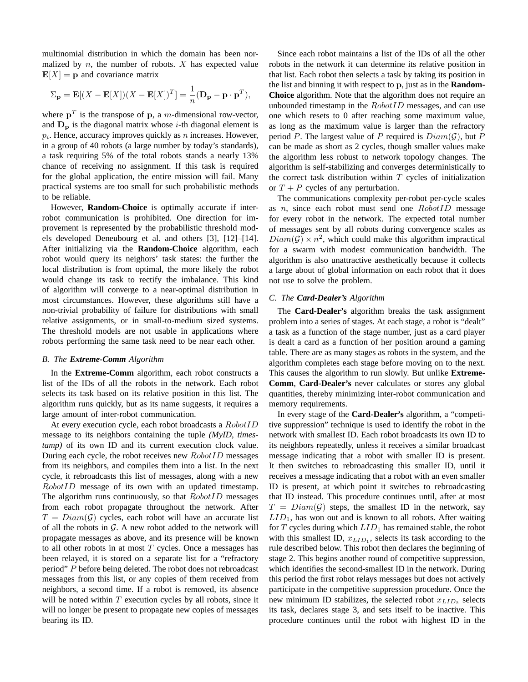multinomial distribution in which the domain has been normalized by  $n$ , the number of robots.  $X$  has expected value  $E[X] = p$  and covariance matrix

$$
\Sigma_{\mathbf{p}} = \mathbf{E}[(X - \mathbf{E}[X])(X - \mathbf{E}[X])^T] = \frac{1}{n}(\mathbf{D}_{\mathbf{p}} - \mathbf{p} \cdot \mathbf{p}^T),
$$

where  $p<sup>T</sup>$  is the transpose of p, a *m*-dimensional row-vector, and  $D<sub>p</sub>$  is the diagonal matrix whose *i*-th diagonal element is  $p_i$ . Hence, accuracy improves quickly as n increases. However, in a group of 40 robots (a large number by today's standards), a task requiring 5% of the total robots stands a nearly 13% chance of receiving no assignment. If this task is required for the global application, the entire mission will fail. Many practical systems are too small for such probabilistic methods to be reliable.

However, **Random-Choice** is optimally accurate if interrobot communication is prohibited. One direction for improvement is represented by the probabilistic threshold models developed Deneubourg et al. and others [3], [12]–[14]. After initializing via the **Random-Choice** algorithm, each robot would query its neighors' task states: the further the local distribution is from optimal, the more likely the robot would change its task to rectify the imbalance. This kind of algorithm will converge to a near-optimal distribution in most circumstances. However, these algorithms still have a non-trivial probability of failure for distributions with small relative assignments, or in small-to-medium sized systems. The threshold models are not usable in applications where robots performing the same task need to be near each other.

# *B. The Extreme-Comm Algorithm*

In the **Extreme-Comm** algorithm, each robot constructs a list of the IDs of all the robots in the network. Each robot selects its task based on its relative position in this list. The algorithm runs quickly, but as its name suggests, it requires a large amount of inter-robot communication.

At every execution cycle, each robot broadcasts a RobotID message to its neighbors containing the tuple *(MyID, timestamp)* of its own ID and its current execution clock value. During each cycle, the robot receives new  $RobotID$  messages from its neighbors, and compiles them into a list. In the next cycle, it rebroadcasts this list of messages, along with a new RobotID message of its own with an updated timestamp. The algorithm runs continuously, so that  $RobotID$  messages from each robot propagate throughout the network. After  $T = Diam(\mathcal{G})$  cycles, each robot will have an accurate list of all the robots in  $G$ . A new robot added to the network will propagate messages as above, and its presence will be known to all other robots in at most  $T$  cycles. Once a messages has been relayed, it is stored on a separate list for a "refractory period" P before being deleted. The robot does not rebroadcast messages from this list, or any copies of them received from neighbors, a second time. If a robot is removed, its absence will be noted within  $T$  execution cycles by all robots, since it will no longer be present to propagate new copies of messages bearing its ID.

Since each robot maintains a list of the IDs of all the other robots in the network it can determine its relative position in that list. Each robot then selects a task by taking its position in the list and binning it with respect to p, just as in the **Random-Choice** algorithm. Note that the algorithm does not require an unbounded timestamp in the  $RobotID$  messages, and can use one which resets to 0 after reaching some maximum value, as long as the maximum value is larger than the refractory period P. The largest value of P required is  $Diam(\mathcal{G})$ , but P can be made as short as 2 cycles, though smaller values make the algorithm less robust to network topology changes. The algorithm is self-stabilizing and converges deterministically to the correct task distribution within  $T$  cycles of initialization or  $T + P$  cycles of any perturbation.

The communications complexity per-robot per-cycle scales as  $n$ , since each robot must send one  $RobotID$  message for every robot in the network. The expected total number of messages sent by all robots during convergence scales as  $Diam(G) \times n^2$ , which could make this algorithm impractical for a swarm with modest communication bandwidth. The algorithm is also unattractive aesthetically because it collects a large about of global information on each robot that it does not use to solve the problem.

# *C. The Card-Dealer's Algorithm*

The **Card-Dealer's** algorithm breaks the task assignment problem into a series of stages. At each stage, a robot is "dealt" a task as a function of the stage number, just as a card player is dealt a card as a function of her position around a gaming table. There are as many stages as robots in the system, and the algorithm completes each stage before moving on to the next. This causes the algorithm to run slowly. But unlike **Extreme-Comm**, **Card-Dealer's** never calculates or stores any global quantities, thereby minimizing inter-robot communication and memory requirements.

In every stage of the **Card-Dealer's** algorithm, a "competitive suppression" technique is used to identify the robot in the network with smallest ID. Each robot broadcasts its own ID to its neighbors repeatedly, unless it receives a similar broadcast message indicating that a robot with smaller ID is present. It then switches to rebroadcasting this smaller ID, until it receives a message indicating that a robot with an even smaller ID is present, at which point it switches to rebroadcasting that ID instead. This procedure continues until, after at most  $T = Diam(\mathcal{G})$  steps, the smallest ID in the network, say  $LID<sub>1</sub>$ , has won out and is known to all robots. After waiting for  $T$  cycles during which  $LID_1$  has remained stable, the robot with this smallest ID,  $x_{LID_1}$ , selects its task according to the rule described below. This robot then declares the beginning of stage 2. This begins another round of competitive suppression, which identifies the second-smallest ID in the network. During this period the first robot relays messages but does not actively participate in the competitive suppression procedure. Once the new minimum ID stabilizes, the selected robot  $x_{LID_2}$  selects its task, declares stage 3, and sets itself to be inactive. This procedure continues until the robot with highest ID in the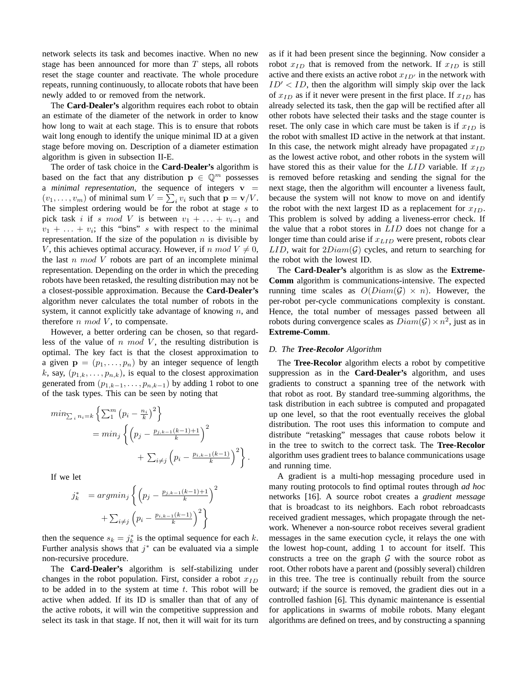network selects its task and becomes inactive. When no new stage has been announced for more than  $T$  steps, all robots reset the stage counter and reactivate. The whole procedure repeats, running continuously, to allocate robots that have been newly added to or removed from the network.

The **Card-Dealer's** algorithm requires each robot to obtain an estimate of the diameter of the network in order to know how long to wait at each stage. This is to ensure that robots wait long enough to identify the unique minimal ID at a given stage before moving on. Description of a diameter estimation algorithm is given in subsection II-E.

The order of task choice in the **Card-Dealer's** algorithm is based on the fact that any distribution  $\mathbf{p} \in \mathbb{Q}^m$  possesses a *minimal representation*, the sequence of integers  $v =$  $(v_1, \ldots, v_m)$  of minimal sum  $V = \sum_i v_i$  such that  $\mathbf{p} = \mathbf{v}/V$ . The simplest ordering would be for the robot at stage  $s$  to pick task i if s mod V is between  $v_1 + \ldots + v_{i-1}$  and  $v_1 + \ldots + v_i$ ; this "bins" s with respect to the minimal representation. If the size of the population  $n$  is divisible by V, this achieves optimal accuracy. However, if n mod  $V \neq 0$ , the last  $n \mod V$  robots are part of an incomplete minimal representation. Depending on the order in which the preceding robots have been retasked, the resulting distribution may not be a closest-possible approximation. Because the **Card-Dealer's** algorithm never calculates the total number of robots in the system, it cannot explicitly take advantage of knowing  $n$ , and therefore  $n \mod V$ , to compensate.

However, a better ordering can be chosen, so that regardless of the value of n mod V, the resulting distribution is optimal. The key fact is that the closest approximation to a given  $\mathbf{p} = (p_1, \ldots, p_n)$  by an integer sequence of length k, say,  $(p_{1,k}, \ldots, p_{n,k})$ , is equal to the closest approximation generated from  $(p_{1,k-1}, \ldots, p_{n,k-1})$  by adding 1 robot to one of the task types. This can be seen by noting that

$$
min_{\sum_{i} n_{i} = k} \left\{ \sum_{1}^{m} (p_{i} - \frac{n_{i}}{k})^{2} \right\}
$$
  
= 
$$
min_{j} \left\{ \left( p_{j} - \frac{p_{j,k-1}(k-1)+1}{k} \right)^{2} + \sum_{i \neq j} \left( p_{i} - \frac{p_{i,k-1}(k-1)}{k} \right)^{2} \right\}.
$$

If we let

$$
j_k^* = argmin_j \left\{ \left( p_j - \frac{p_{j,k-1}(k-1)+1}{k} \right)^2 + \sum_{i \neq j} \left( p_i - \frac{p_{i,k-1}(k-1)}{k} \right)^2 \right\}
$$

then the sequence  $s_k = j_k^*$  is the optimal sequence for each k. Further analysis shows that  $j^*$  can be evaluated via a simple non-recursive procedure.

The **Card-Dealer's** algorithm is self-stabilizing under changes in the robot population. First, consider a robot  $x_{ID}$ to be added in to the system at time  $t$ . This robot will be active when added. If its ID is smaller than that of any of the active robots, it will win the competitive suppression and select its task in that stage. If not, then it will wait for its turn as if it had been present since the beginning. Now consider a robot  $x_{ID}$  that is removed from the network. If  $x_{ID}$  is still active and there exists an active robot  $x_{ID'}$  in the network with  $ID' < ID$ , then the algorithm will simply skip over the lack of  $x_{ID}$  as if it never were present in the first place. If  $x_{ID}$  has already selected its task, then the gap will be rectified after all other robots have selected their tasks and the stage counter is reset. The only case in which care must be taken is if  $x_{ID}$  is the robot with smallest ID active in the network at that instant. In this case, the network might already have propagated  $x_{ID}$ as the lowest active robot, and other robots in the system will have stored this as their value for the  $LID$  variable. If  $x_{ID}$ is removed before retasking and sending the signal for the next stage, then the algorithm will encounter a liveness fault, because the system will not know to move on and identify the robot with the next largest ID as a replacement for  $x_{ID}$ . This problem is solved by adding a liveness-error check. If the value that a robot stores in LID does not change for a longer time than could arise if  $x_{LID}$  were present, robots clear  $LID$ , wait for  $2Diam(\mathcal{G})$  cycles, and return to searching for the robot with the lowest ID.

The **Card-Dealer's** algorithm is as slow as the **Extreme-Comm** algorithm is communications-intensive. The expected running time scales as  $O(Diam(G) \times n)$ . However, the per-robot per-cycle communications complexity is constant. Hence, the total number of messages passed between all robots during convergence scales as  $Diam(G) \times n^2$ , just as in **Extreme-Comm**.

# *D. The Tree-Recolor Algorithm*

The **Tree-Recolor** algorithm elects a robot by competitive suppression as in the **Card-Dealer's** algorithm, and uses gradients to construct a spanning tree of the network with that robot as root. By standard tree-summing algorithms, the task distribution in each subtree is computed and propagated up one level, so that the root eventually receives the global distribution. The root uses this information to compute and distribute "retasking" messages that cause robots below it in the tree to switch to the correct task. The **Tree-Recolor** algorithm uses gradient trees to balance communications usage and running time.

A gradient is a multi-hop messaging procedure used in many routing protocols to find optimal routes through *ad hoc* networks [16]. A source robot creates a *gradient message* that is broadcast to its neighbors. Each robot rebroadcasts received gradient messages, which propagate through the network. Whenever a non-source robot receives several gradient messages in the same execution cycle, it relays the one with the lowest hop-count, adding 1 to account for itself. This constructs a tree on the graph  $G$  with the source robot as root. Other robots have a parent and (possibly several) children in this tree. The tree is continually rebuilt from the source outward; if the source is removed, the gradient dies out in a controlled fashion [6]. This dynamic maintenance is essential for applications in swarms of mobile robots. Many elegant algorithms are defined on trees, and by constructing a spanning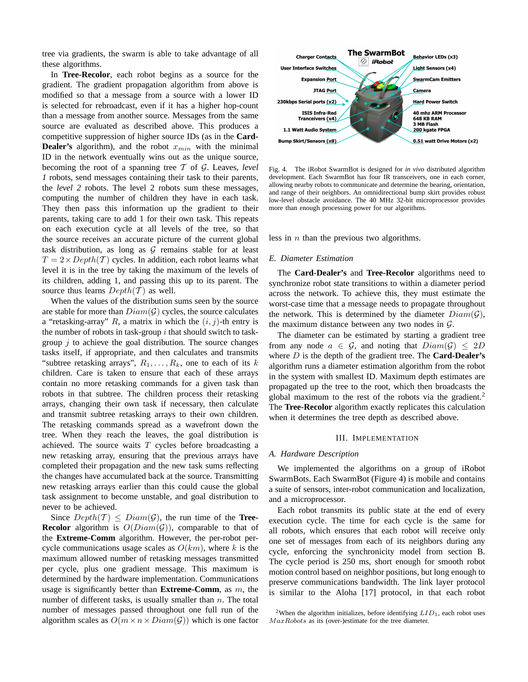tree via gradients, the swarm is able to take advantage of all these algorithms.

In **Tree-Recolor**, each robot begins as a source for the gradient. The gradient propagation algorithm from above is modified so that a message from a source with a lower ID is selected for rebroadcast, even if it has a higher hop-count than a message from another source. Messages from the same source are evaluated as described above. This produces a competitive suppression of higher source IDs (as in the **Card-Dealer's** algorithm), and the robot  $x_{min}$  with the minimal ID in the network eventually wins out as the unique source, becoming the root of a spanning tree T of G. Leaves, *level 1* robots, send messages containing their task to their parents, the *level 2* robots. The level 2 robots sum these messages, computing the number of children they have in each task. They then pass this information up the gradient to their parents, taking care to add 1 for their own task. This repeats on each execution cycle at all levels of the tree, so that the source receives an accurate picture of the current global task distribution, as long as  $G$  remains stable for at least  $T = 2 \times Depth(T)$  cycles. In addition, each robot learns what level it is in the tree by taking the maximum of the levels of its children, adding 1, and passing this up to its parent. The source thus learns  $Depth(\mathcal{T})$  as well.

When the values of the distribution sums seen by the source are stable for more than  $Diam(\mathcal{G})$  cycles, the source calculates a "retasking-array" R, a matrix in which the  $(i, j)$ -th entry is the number of robots in task-group  $i$  that should switch to taskgroup  $j$  to achieve the goal distribution. The source changes tasks itself, if appropriate, and then calculates and transmits "subtree retasking arrays",  $R_1, \ldots, R_k$ , one to each of its k children. Care is taken to ensure that each of these arrays contain no more retasking commands for a given task than robots in that subtree. The children process their retasking arrays, changing their own task if necessary, then calculate and transmit subtree retasking arrays to their own children. The retasking commands spread as a wavefront down the tree. When they reach the leaves, the goal distribution is achieved. The source waits  $T$  cycles before broadcasting a new retasking array, ensuring that the previous arrays have completed their propagation and the new task sums reflecting the changes have accumulated back at the source. Transmitting new retasking arrays earlier than this could cause the global task assignment to become unstable, and goal distribution to never to be achieved.

Since  $Depth(\mathcal{T}) \leq Diam(\mathcal{G})$ , the run time of the **Tree-Recolor** algorithm is  $O(Diam(\mathcal{G}))$ , comparable to that of the **Extreme-Comm** algorithm. However, the per-robot percycle communications usage scales as  $O(km)$ , where k is the maximum allowed number of retasking messages transmitted per cycle, plus one gradient message. This maximum is determined by the hardware implementation. Communications usage is significantly better than **Extreme-Comm**, as m, the number of different tasks, is usually smaller than  $n$ . The total number of messages passed throughout one full run of the algorithm scales as  $O(m \times n \times Diam(\mathcal{G}))$  which is one factor



Fig. 4. The iRobot SwarmBot is designed for *in vivo* distributed algorithm development. Each SwarmBot has four IR transceivers, one in each corner, allowing nearby robots to communicate and determine the bearing, orientation, and range of their neighbors. An omnidirectional bump skirt provides robust low-level obstacle avoidance. The 40 MHz 32-bit microprocessor provides more than enough processing power for our algorithms.

less in  $n$  than the previous two algorithms.

#### *E. Diameter Estimation*

The **Card-Dealer's** and **Tree-Recolor** algorithms need to synchronize robot state transitions to within a diameter period across the network. To achieve this, they must estimate the worst-case time that a message needs to propagate throughout the network. This is determined by the diameter  $Diam(\mathcal{G})$ , the maximum distance between any two nodes in  $\mathcal{G}$ .

The diameter can be estimated by starting a gradient tree from any node  $a \in \mathcal{G}$ , and noting that  $Diam(\mathcal{G}) \leq 2D$ where D is the depth of the gradient tree. The **Card-Dealer's** algorithm runs a diameter estimation algorithm from the robot in the system with smallest ID. Maximum depth estimates are propagated up the tree to the root, which then broadcasts the global maximum to the rest of the robots via the gradient.<sup>2</sup> The **Tree-Recolor** algorithm exactly replicates this calculation when it determines the tree depth as described above.

#### III. IMPLEMENTATION

#### *A. Hardware Description*

We implemented the algorithms on a group of iRobot SwarmBots. Each SwarmBot (Figure 4) is mobile and contains a suite of sensors, inter-robot communication and localization, and a microprocessor.

Each robot transmits its public state at the end of every execution cycle. The time for each cycle is the same for all robots, which ensures that each robot will receive only one set of messages from each of its neighbors during any cycle, enforcing the synchronicity model from section B. The cycle period is 250 ms, short enough for smooth robot motion control based on neighbor positions, but long enough to preserve communications bandwidth. The link layer protocol is similar to the Aloha [17] protocol, in that each robot

<sup>&</sup>lt;sup>2</sup>When the algorithm initializes, before identifying  $LID_1$ , each robot uses MaxRobots as its (over-)estimate for the tree diameter.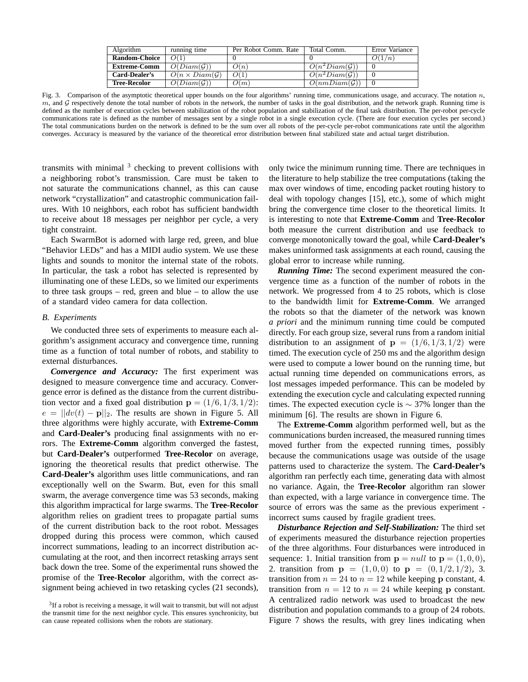| Algorithm            | running time           | Per Robot Comm. Rate | Total Comm.               | Error Variance |
|----------------------|------------------------|----------------------|---------------------------|----------------|
| <b>Random-Choice</b> | O(1)                   |                      |                           | D(1/n)         |
| <b>Extreme-Comm</b>  | $O(Diam(\mathcal{G}))$ | O(n)                 | $O(n^2Diam(\mathcal{G}))$ |                |
| Card-Dealer's        | $O(n \times Diam(G))$  | O(1)                 | $O(n^2Diam(\mathcal{G}))$ |                |
| <b>Tree-Recolor</b>  | $O(Diam(\mathcal{G}))$ | O(m)                 | O(nmDiam(G))              |                |

Fig. 3. Comparison of the asymptotic theoretical upper bounds on the four algorithms' running time, communications usage, and accuracy. The notation  $n$ , m, and G respectively denote the total number of robots in the network, the number of tasks in the goal distribution, and the network graph. Running time is defined as the number of execution cycles between stabilization of the robot population and stabilization of the final task distribution. The per-robot per-cycle communications rate is defined as the number of messages sent by a single robot in a single execution cycle. (There are four execution cycles per second.) The total communications burden on the network is defined to be the sum over all robots of the per-cycle per-robot communications rate until the algorithm converges. Accuracy is measured by the variance of the theoretical error distribution between final stabilized state and actual target distribution.

transmits with minimal  $3$  checking to prevent collisions with a neighboring robot's transmission. Care must be taken to not saturate the communications channel, as this can cause network "crystallization" and catastrophic communication failures. With 10 neighbors, each robot has sufficient bandwidth to receive about 18 messages per neighbor per cycle, a very tight constraint.

Each SwarmBot is adorned with large red, green, and blue "Behavior LEDs" and has a MIDI audio system. We use these lights and sounds to monitor the internal state of the robots. In particular, the task a robot has selected is represented by illuminating one of these LEDs, so we limited our experiments to three task groups – red, green and blue – to allow the use of a standard video camera for data collection.

# *B. Experiments*

We conducted three sets of experiments to measure each algorithm's assignment accuracy and convergence time, running time as a function of total number of robots, and stability to external disturbances.

*Convergence and Accuracy:* The first experiment was designed to measure convergence time and accuracy. Convergence error is defined as the distance from the current distribution vector and a fixed goal distribution  $p = (1/6, 1/3, 1/2)$ :  $e = ||dv(t) - \mathbf{p}||_2$ . The results are shown in Figure 5. All three algorithms were highly accurate, with **Extreme-Comm** and **Card-Dealer's** producing final assignments with no errors. The **Extreme-Comm** algorithm converged the fastest, but **Card-Dealer's** outperformed **Tree-Recolor** on average, ignoring the theoretical results that predict otherwise. The **Card-Dealer's** algorithm uses little communications, and ran exceptionally well on the Swarm. But, even for this small swarm, the average convergence time was 53 seconds, making this algorithm impractical for large swarms. The **Tree-Recolor** algorithm relies on gradient trees to propagate partial sums of the current distribution back to the root robot. Messages dropped during this process were common, which caused incorrect summations, leading to an incorrect distribution accumulating at the root, and then incorrect retasking arrays sent back down the tree. Some of the experimental runs showed the promise of the **Tree-Recolor** algorithm, with the correct assignment being achieved in two retasking cycles (21 seconds), only twice the minimum running time. There are techniques in the literature to help stabilize the tree computations (taking the max over windows of time, encoding packet routing history to deal with topology changes [15], etc.), some of which might bring the convergence time closer to the theoretical limits. It is interesting to note that **Extreme-Comm** and **Tree-Recolor** both measure the current distribution and use feedback to converge monotonically toward the goal, while **Card-Dealer's** makes uninformed task assignments at each round, causing the global error to increase while running.

*Running Time:* The second experiment measured the convergence time as a function of the number of robots in the network. We progressed from 4 to 25 robots, which is close to the bandwidth limit for **Extreme-Comm**. We arranged the robots so that the diameter of the network was known *a priori* and the minimum running time could be computed directly. For each group size, several runs from a random initial distribution to an assignment of  $p = (1/6, 1/3, 1/2)$  were timed. The execution cycle of 250 ms and the algorithm design were used to compute a lower bound on the running time, but actual running time depended on communications errors, as lost messages impeded performance. This can be modeled by extending the execution cycle and calculating expected running times. The expected execution cycle is  $\sim$  37% longer than the minimum [6]. The results are shown in Figure 6.

The **Extreme-Comm** algorithm performed well, but as the communications burden increased, the measured running times moved further from the expected running times, possibly because the communications usage was outside of the usage patterns used to characterize the system. The **Card-Dealer's** algorithm ran perfectly each time, generating data with almost no variance. Again, the **Tree-Recolor** algorithm ran slower than expected, with a large variance in convergence time. The source of errors was the same as the previous experiment incorrect sums caused by fragile gradient trees.

*Disturbance Rejection and Self-Stabilization:* The third set of experiments measured the disturbance rejection properties of the three algorithms. Four disturbances were introduced in sequence: 1. Initial transition from  $p = null$  to  $p = (1, 0, 0)$ , 2. transition from  $p = (1, 0, 0)$  to  $p = (0, 1/2, 1/2),$  3. transition from  $n = 24$  to  $n = 12$  while keeping p constant, 4. transition from  $n = 12$  to  $n = 24$  while keeping p constant. A centralized radio network was used to broadcast the new distribution and population commands to a group of 24 robots. Figure 7 shows the results, with grey lines indicating when

 $3$ If a robot is receiving a message, it will wait to transmit, but will not adjust the transmit time for the next neighbor cycle. This ensures synchronicity, but can cause repeated collisions when the robots are stationary.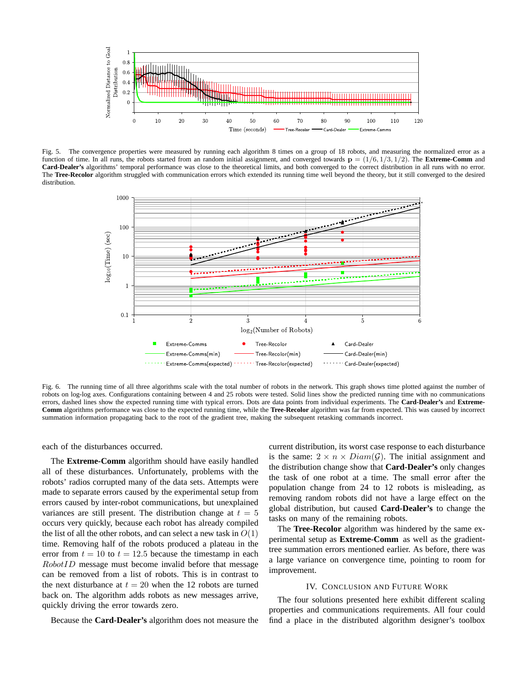

Fig. 5. The convergence properties were measured by running each algorithm 8 times on a group of 18 robots, and measuring the normalized error as a function of time. In all runs, the robots started from an random initial assignment, and converged towards  $p = (1/6, 1/3, 1/2)$ . The **Extreme-Comm** and **Card-Dealer's** algorithms' temporal performance was close to the theoretical limits, and both converged to the correct distribution in all runs with no error. The Tree-Recolor algorithm struggled with communication errors which extended its running time well beyond the theory, but it still converged to the desired distribution.



Fig. 6. The running time of all three algorithms scale with the total number of robots in the network. This graph shows time plotted against the number of robots on log-log axes. Configurations containing between 4 and 25 robots were tested. Solid lines show the predicted running time with no communications errors, dashed lines show the expected running time with typical errors. Dots are data points from individual experiments. The **Card-Dealer's** and **Extreme-Comm** algorithms performance was close to the expected running time, while the **Tree-Recolor** algorithm was far from expected. This was caused by incorrect summation information propagating back to the root of the gradient tree, making the subsequent retasking commands incorrect.

each of the disturbances occurred.

The **Extreme-Comm** algorithm should have easily handled all of these disturbances. Unfortunately, problems with the robots' radios corrupted many of the data sets. Attempts were made to separate errors caused by the experimental setup from errors caused by inter-robot communications, but unexplained variances are still present. The distribution change at  $t = 5$ occurs very quickly, because each robot has already compiled the list of all the other robots, and can select a new task in  $O(1)$ time. Removing half of the robots produced a plateau in the error from  $t = 10$  to  $t = 12.5$  because the timestamp in each RobotID message must become invalid before that message can be removed from a list of robots. This is in contrast to the next disturbance at  $t = 20$  when the 12 robots are turned back on. The algorithm adds robots as new messages arrive, quickly driving the error towards zero.

Because the **Card-Dealer's** algorithm does not measure the

current distribution, its worst case response to each disturbance is the same:  $2 \times n \times Diam(\mathcal{G})$ . The initial assignment and the distribution change show that **Card-Dealer's** only changes the task of one robot at a time. The small error after the population change from 24 to 12 robots is misleading, as removing random robots did not have a large effect on the global distribution, but caused **Card-Dealer's** to change the tasks on many of the remaining robots.

The **Tree-Recolor** algorithm was hindered by the same experimental setup as **Extreme-Comm** as well as the gradienttree summation errors mentioned earlier. As before, there was a large variance on convergence time, pointing to room for improvement.

# IV. CONCLUSION AND FUTURE WORK

The four solutions presented here exhibit different scaling properties and communications requirements. All four could find a place in the distributed algorithm designer's toolbox